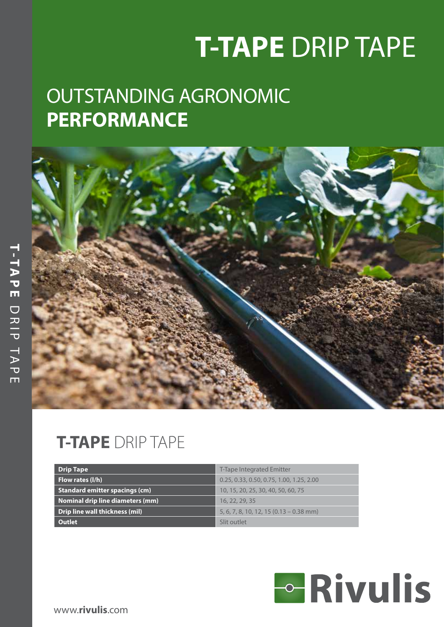# **T-TAPE** DRIP TAPE

## OUTSTANDING AGRONOMIC **PERFORMANCE**



### **T-TAPE** DRIP TAPE

| <b>Drip Tape</b>                        | <b>T-Tape Integrated Emitter</b>                  |
|-----------------------------------------|---------------------------------------------------|
| Flow rates (I/h)                        | 0.25, 0.33, 0.50, 0.75, 1.00, 1.25, 2.00          |
| Standard emitter spacings (cm)          | 10, 15, 20, 25, 30, 40, 50, 60, 75                |
| <b>Nominal drip line diameters (mm)</b> | 16, 22, 29, 35                                    |
| Drip line wall thickness (mil)          | $5, 6, 7, 8, 10, 12, 15 (0.13 - 0.38 \text{ mm})$ |
| <b>Outlet</b>                           | Slit outlet                                       |

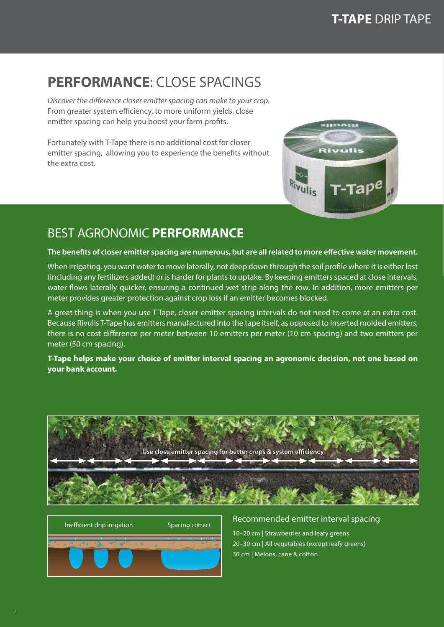### **PERFORMANCE: CLOSE SPACINGS**

*Discover the difference closer emitter spacing can make to your crop.* From greater system efficiency, to more uniform yields, close emitter spacing can help you boost your farm profits.

Fortunately with T-Tape there is no additional cost for closer emitter spacing, allowing you to experience the benefits without the extra cost.



### BEST AGRONOMIC **PERFORMANCE**

**The benefits of closer emitter spacing are numerous, but are all related to more effective water movement.** 

When irrigating, you want water to move laterally, not deep down through the soil profile where it is either lost (including any fertilizers added) or is harder for plants to uptake. By keeping emitters spaced at close intervals, water flows laterally quicker, ensuring a continued wet strip along the row. In addition, more emitters per meter provides greater protection against crop loss if an emitter becomes blocked.

A great thing is when you use T-Tape, closer emitter spacing intervals do not need to come at an extra cost. Because Rivulis T-Tape has emitters manufactured into the tape itself, as opposed to inserted molded emitters, there is no cost difference per meter between 10 emitters per meter (10 cm spacing) and two emitters per meter (50 cm spacing).

**T-Tape helps make your choice of emitter interval spacing an agronomic decision, not one based on your bank account.**





10–20 cm | Strawberries and leafy greens 20–30 cm | All vegetables (except leafy greens) 30 cm | Melons, cane & cotton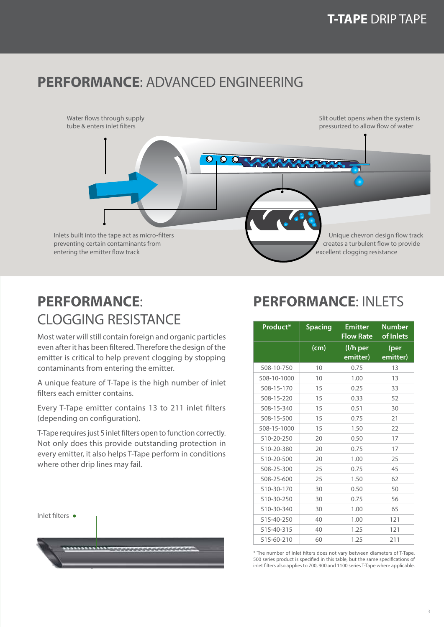### **PERFORMANCE**: ADVANCED ENGINEERING



### **PERFORMANCE**: CLOGGING RESISTANCE

Most water will still contain foreign and organic particles even after it has been filtered. Therefore the design of the emitter is critical to help prevent clogging by stopping contaminants from entering the emitter.

A unique feature of T-Tape is the high number of inlet filters each emitter contains.

Every T-Tape emitter contains 13 to 211 inlet filters (depending on configuration).

T-Tape requires just 5 inlet filters open to function correctly. Not only does this provide outstanding protection in every emitter, it also helps T-Tape perform in conditions where other drip lines may fail.



### **PERFORMANCE**: INLETS

| Product*    | <b>Spacing</b> | <b>Emitter</b><br>Flow Rate | Number<br>of Inlets |  |
|-------------|----------------|-----------------------------|---------------------|--|
|             | (cm)           | (I/h per<br>emitter)        | (per<br>emitter)    |  |
| 508-10-750  | 10             | 0.75                        | 13                  |  |
| 508-10-1000 | 10             | 1.00                        | 13                  |  |
| 508-15-170  | 15             | 0.25                        | 33                  |  |
| 508-15-220  | 15             | 0.33                        | 52                  |  |
| 508-15-340  | 15             | 0.51                        | 30                  |  |
| 508-15-500  | 15             | 0.75                        | 21                  |  |
| 508-15-1000 | 15             | 1.50                        | 22                  |  |
| 510-20-250  | 20             | 0.50                        | 17                  |  |
| 510-20-380  | 20             | 0.75                        | 17                  |  |
| 510-20-500  | 20             | 1.00                        | 25                  |  |
| 508-25-300  | 25             | 0.75                        | 45                  |  |
| 508-25-600  | 25             | 1.50                        | 62                  |  |
| 510-30-170  | 30             | 0.50                        | 50                  |  |
| 510-30-250  | 30             | 0.75                        | 56                  |  |
| 510-30-340  | 30             | 1.00                        | 65                  |  |
| 515-40-250  | 40             | 1.00                        | 121                 |  |
| 515-40-315  | 40             | 1.25                        | 121                 |  |
| 515-60-210  | 60             | 1.25                        | 211                 |  |

\* The number of inlet filters does not vary between diameters of T-Tape. 500 series product is specified in this table, but the same specifications of inlet filters also applies to 700, 900 and 1100 series T-Tape where applicable.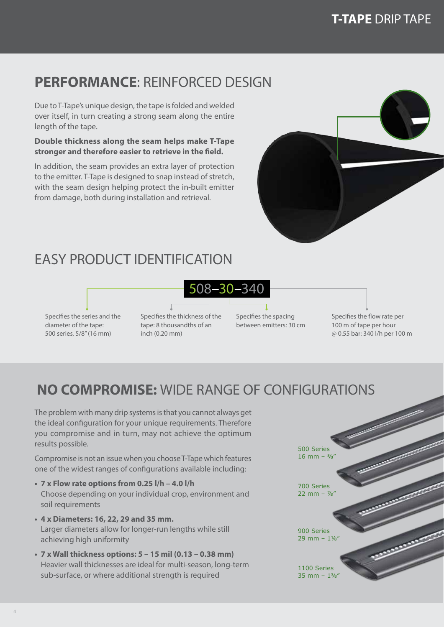### **PERFORMANCE**: REINFORCED DESIGN

Due to T-Tape's unique design, the tape is folded and welded over itself, in turn creating a strong seam along the entire length of the tape.

### **Double thickness along the seam helps make T-Tape stronger and therefore easier to retrieve in the field.**

In addition, the seam provides an extra layer of protection to the emitter. T-Tape is designed to snap instead of stretch, with the seam design helping protect the in-built emitter from damage, both during installation and retrieval.



### EASY PRODUCT IDENTIFICATION

Specifies the series and the diameter of the tape: 500 series, 5/8" (16 mm)

Specifies the thickness of the tape: 8 thousandths of an inch (0.20 mm)

Specifies the spacing between emitters: 30 cm

508–30–340

Specifies the flow rate per 100 m of tape per hour @ 0.55 bar: 340 l/h per 100 m

### **NO COMPROMISE:** WIDE RANGE OF CONFIGURATIONS

The problem with many drip systems is that you cannot always get the ideal configuration for your unique requirements. Therefore you compromise and in turn, may not achieve the optimum results possible.

Compromise is not an issue when you choose T-Tape which features one of the widest ranges of configurations available including:

- **• 7 x Flow rate options from 0.25 l/h 4.0 l/h** Choose depending on your individual crop, environment and soil requirements
- **• 4 x Diameters: 16, 22, 29 and 35 mm.** Larger diameters allow for longer-run lengths while still achieving high uniformity
- **• 7 x Wall thickness options: 5 15 mil (0.13 0.38 mm)** Heavier wall thicknesses are ideal for multi-season, long-term sub-surface, or where additional strength is required

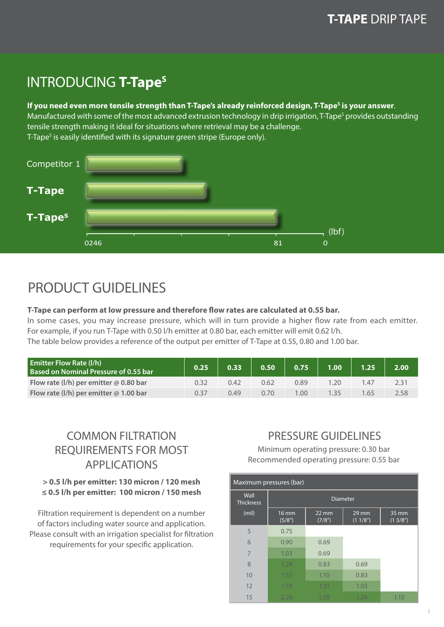### **INTRODUCING T-Tape<sup>s</sup>**

#### If you need even more tensile strength than T-Tape's already reinforced design, T-Tape<sup>s</sup> is your answer.

Manufactured with some of the most advanced extrusion technology in drip irrigation, T-Tape<sup>s</sup> provides outstanding tensile strength making it ideal for situations where retrieval may be a challenge. T-Tape<sup>s</sup> is easily identified with its signature green stripe (Europe only).



### PRODUCT GUIDELINES

#### **T-Tape can perform at low pressure and therefore flow rates are calculated at 0.55 bar.**

In some cases, you may increase pressure, which will in turn provide a higher flow rate from each emitter. For example, if you run T-Tape with 0.50 l/h emitter at 0.80 bar, each emitter will emit 0.62 l/h.

The table below provides a reference of the output per emitter of T-Tape at 0.55, 0.80 and 1.00 bar.

| <b>Emitter Flow Rate (I/h)</b><br><b>Based on Nominal Pressure of 0.55 bar</b> | 0.25 | 0.33 | 0.50 | 0.75 | 1.00 |      | 2.00 |
|--------------------------------------------------------------------------------|------|------|------|------|------|------|------|
| Flow rate (I/h) per emitter $\omega$ 0.80 bar                                  |      | 0.42 | 0.62 | 0.89 | .20  | 1.4/ | 2.31 |
| Flow rate (I/h) per emitter $@$ 1.00 bar                                       | 0.37 | 0.49 | 0.70 | .00. | 135  | .65  | 2.58 |

### COMMON FILTRATION REQUIREMENTS FOR MOST APPLICATIONS

### **> 0.5 l/h per emitter: 130 micron / 120 mesh ≤ 0.5 l/h per emitter: 100 micron / 150 mesh**

Filtration requirement is dependent on a number of factors including water source and application. Please consult with an irrigation specialist for filtration requirements for your specific application.

### PRESSURE GUIDELINES

Minimum operating pressure: 0.30 bar Recommended operating pressure: 0.55 bar

| Maximum pressures (bar)  |                        |                           |                  |                  |  |  |  |  |  |  |  |
|--------------------------|------------------------|---------------------------|------------------|------------------|--|--|--|--|--|--|--|
| Wall<br><b>Thickness</b> |                        |                           | <b>Diameter</b>  |                  |  |  |  |  |  |  |  |
| (mil)                    | <b>16 mm</b><br>(5/8") | $22 \text{ mm}$<br>(7/8") | 29 mm<br>(11/8") | 35 mm<br>(13/8") |  |  |  |  |  |  |  |
| 5                        | 0.75                   |                           |                  |                  |  |  |  |  |  |  |  |
| 6                        | 0.90                   | 0.69                      |                  |                  |  |  |  |  |  |  |  |
| 7                        | 1.03                   | 0.69                      |                  |                  |  |  |  |  |  |  |  |
| 8                        | 1.24                   | 0.83                      | 0.69             |                  |  |  |  |  |  |  |  |
| 10                       | 1.52                   | 1.10                      | 0.83             |                  |  |  |  |  |  |  |  |
| 12                       | 1.79                   | 1.31                      | 1.03             |                  |  |  |  |  |  |  |  |
| 15                       | 2.28                   | 1.59                      | 1.24             | 1.10             |  |  |  |  |  |  |  |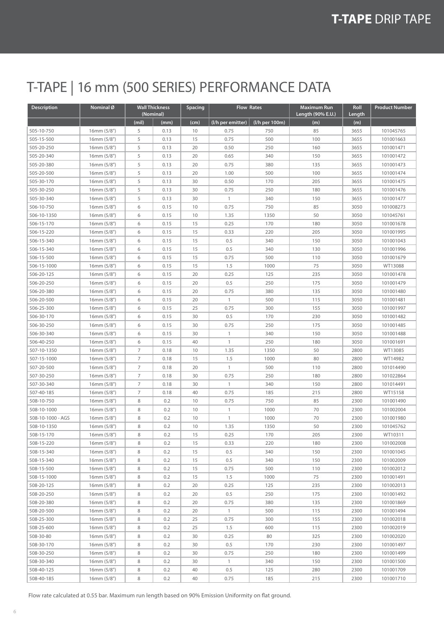### T-TAPE | 16 mm (500 SERIES) PERFORMANCE DATA

| Description       | Nominal <sup>Ø</sup> |       | <b>Wall Thickness</b><br>(Nominal) | <b>Spacing</b> | <b>Flow Rates</b> |                | <b>Maximum Run</b><br>Length (90% E.U.) | Roll<br>Length | <b>Product Number</b> |
|-------------------|----------------------|-------|------------------------------------|----------------|-------------------|----------------|-----------------------------------------|----------------|-----------------------|
|                   |                      | (mil) | (mm)                               | (cm)           | (I/h per emitter) | (I/h per 100m) | (m)                                     | (m)            |                       |
| 505-10-750        | 16mm (5/8")          | 5     | 0.13                               | 10             | 0.75              | 750            | 85                                      | 3655           | 101045765             |
| 505-15-500        | 16mm (5/8")          | 5     | 0.13                               | 15             | 0.75              | 500            | 100                                     | 3655           | 101001663             |
| 505-20-250        | 16mm (5/8")          | 5     | 0.13                               | 20             | 0.50              | 250            | 160                                     | 3655           | 101001471             |
| 505-20-340        | 16mm (5/8")          | 5     | 0.13                               | 20             | 0.65              | 340            | 150                                     | 3655           | 101001472             |
| 505-20-380        | 16mm (5/8")          | 5     | 0.13                               | 20             | 0.75              | 380            | 135                                     | 3655           | 101001473             |
| 505-20-500        | 16mm (5/8")          | 5     | 0.13                               | 20             | 1.00              | 500            | 100                                     | 3655           | 101001474             |
| 505-30-170        | 16mm (5/8")          | 5     | 0.13                               | 30             | 0.50              | 170            | 205                                     | 3655           | 101001475             |
| 505-30-250        | 16mm (5/8")          | 5     | 0.13                               | 30             | 0.75              | 250            | 180                                     | 3655           | 101001476             |
| 505-30-340        | 16mm (5/8")          | 5     | 0.13                               | 30             | $\mathbf{1}$      | 340            | 150                                     | 3655           | 101001477             |
| 506-10-750        | 16mm (5/8")          | 6     | 0.15                               | 10             | 0.75              | 750            | 85                                      | 3050           | 101008273             |
| 506-10-1350       | 16mm (5/8")          | 6     | 0.15                               | 10             | 1.35              | 1350           | 50                                      | 3050           | 101045761             |
| 506-15-170        | 16mm (5/8")          | 6     | 0.15                               | 15             | 0.25              | 170            | 180                                     | 3050           | 101001678             |
| 506-15-220        | 16mm (5/8")          | 6     | 0.15                               | 15             | 0.33              | 220            | 205                                     | 3050           | 101001995             |
| 506-15-340        | 16mm (5/8")          | 6     | 0.15                               | 15             | 0.5               | 340            | 150                                     | 3050           | 101001043             |
| 506-15-340        | 16mm (5/8")          | 6     | 0.15                               | 15             | 0.5               | 340            | 130                                     | 3050           | 101001996             |
| 506-15-500        | 16mm (5/8")          | 6     | 0.15                               | 15             | 0.75              | 500            | 110                                     | 3050           | 101001679             |
| 506-15-1000       | 16mm (5/8")          | 6     | 0.15                               | 15             | 1.5               | 1000           | 75                                      | 3050           | WT13088               |
| 506-20-125        | 16mm (5/8")          | 6     | 0.15                               | 20             | 0.25              | 125            | 235                                     | 3050           | 101001478             |
| 506-20-250        | 16mm (5/8")          | 6     | 0.15                               | 20             | 0.5               | 250            | 175                                     | 3050           | 101001479             |
| 506-20-380        | 16mm (5/8")          | 6     | 0.15                               | 20             | 0.75              | 380            | 135                                     | 3050           | 101001480             |
| 506-20-500        | 16mm (5/8")          | 6     | 0.15                               | 20             | $\mathbf{1}$      | 500            | 115                                     | 3050           | 101001481             |
| 506-25-300        | 16mm (5/8")          | 6     | 0.15                               | 25             | 0.75              | 300            | 155                                     | 3050           | 101001997             |
| 506-30-170        | 16mm (5/8")          | 6     | 0.15                               | 30             | 0.5               | 170            | 230                                     | 3050           | 101001482             |
| 506-30-250        | 16mm (5/8")          | 6     | 0.15                               | 30             | 0.75              | 250            | 175                                     | 3050           | 101001485             |
| 506-30-340        | 16mm (5/8")          | 6     | 0.15                               | 30             | $\mathbf{1}$      | 340            | 150                                     | 3050           | 101001488             |
| 506-40-250        | 16mm (5/8")          | 6     | 0.15                               | 40             | $\overline{1}$    | 250            | 180                                     | 3050           | 101001691             |
| 507-10-1350       | 16mm (5/8")          | 7     | 0.18                               | 10             | 1.35              | 1350           | 50                                      | 2800           | WT13085               |
| 507-15-1000       | 16mm (5/8")          | 7     | 0.18                               | 15             | 1.5               | 1000           | 80                                      | 2800           | WT14982               |
| 507-20-500        | 16mm (5/8")          | 7     | 0.18                               | 20             | $\mathbf{1}$      | 500            | 110                                     | 2800           | 101014490             |
| 507-30-250        | 16mm (5/8")          | 7     | 0.18                               | 30             | 0.75              | 250            | 180                                     | 2800           | 101022864             |
| 507-30-340        | 16mm (5/8")          | 7     | 0.18                               | 30             | $\mathbf{1}$      | 340            | 150                                     | 2800           | 101014491             |
| 507-40-185        | 16mm (5/8")          | 7     | 0.18                               | 40             | 0.75              | 185            | 215                                     | 2800           | WT15158               |
| 508-10-750        | 16mm (5/8")          | 8     | 0.2                                | 10             | 0.75              | 750            | 85                                      | 2300           | 101001490             |
| 508-10-1000       | 16mm (5/8")          | 8     | 0.2                                | 10             | $\mathbf{1}$      | 1000           | 70                                      | 2300           | 101002004             |
| 508-10-1000 - AGS | 16mm (5/8")          | 8     | 0.2                                | 10             | $\mathbf{1}$      | 1000           | 70                                      | 2300           | 101001980             |
| 508-10-1350       | 16mm (5/8")          | 8     | 0.2                                | 10             | 1.35              | 1350           | 50                                      | 2300           | 101045762             |
| 508-15-170        | 16mm (5/8")          | 8     | 0.2                                | 15             | 0.25              | 170            | 205                                     | 2300           | WT10311               |
| 508-15-220        | 16mm (5/8")          | 8     | 0.2                                | 15             | 0.33              | 220            | 180                                     | 2300           | 101002008             |
| 508-15-340        | 16mm (5/8")          | 8     | 0.2                                | 15             | 0.5               | 340            | 150                                     | 2300           | 101001045             |
| 508-15-340        | 16mm (5/8")          | 8     | 0.2                                | 15             | 0.5               | 340            | 150                                     | 2300           | 101002009             |
| 508-15-500        | 16mm (5/8")          | 8     | 0.2                                | 15             | 0.75              | 500            | 110                                     | 2300           | 101002012             |
| 508-15-1000       | 16mm (5/8")          | 8     | 0.2                                | 15             | 1.5               | 1000           | 75                                      | 2300           | 101001491             |
| 508-20-125        | 16mm (5/8")          | 8     | 0.2                                | 20             | 0.25              | 125            | 235                                     | 2300           | 101002013             |
| 508-20-250        | 16mm (5/8")          | 8     | 0.2                                | 20             | 0.5               | 250            | 175                                     | 2300           | 101001492             |
| 508-20-380        | 16mm (5/8")          | 8     | 0.2                                | 20             | 0.75              | 380            | 135                                     | 2300           | 101001869             |
| 508-20-500        | 16mm (5/8")          | 8     | 0.2                                | 20             | $\mathbf{1}$      | 500            | 115                                     | 2300           | 101001494             |
| 508-25-300        | 16mm (5/8")          | 8     | 0.2                                | 25             | 0.75              | 300            | 155                                     | 2300           | 101002018             |
| 508-25-600        | 16mm (5/8")          | 8     | 0.2                                | 25             | 1.5               | 600            | 115                                     | 2300           | 101002019             |
| 508-30-80         | 16mm (5/8")          | 8     | 0.2                                | 30             | 0.25              | 80             | 325                                     | 2300           | 101002020             |
| 508-30-170        | 16mm(5/8")           | 8     | 0.2                                | 30             | 0.5               | 170            | 230                                     | 2300           | 101001497             |
| 508-30-250        | 16mm (5/8")          | 8     | 0.2                                | 30             | 0.75              | 250            | 180                                     | 2300           | 101001499             |
| 508-30-340        | 16mm (5/8")          | 8     | 0.2                                | 30             | $\mathbf{1}$      | 340            | 150                                     | 2300           | 101001500             |
| 508-40-125        | 16mm (5/8")          | 8     | 0.2                                | 40             | 0.5               | 125            | 280                                     | 2300           | 101001709             |
| 508-40-185        | 16mm (5/8")          | 8     | 0.2                                | 40             | 0.75              | 185            | 215                                     | 2300           | 101001710             |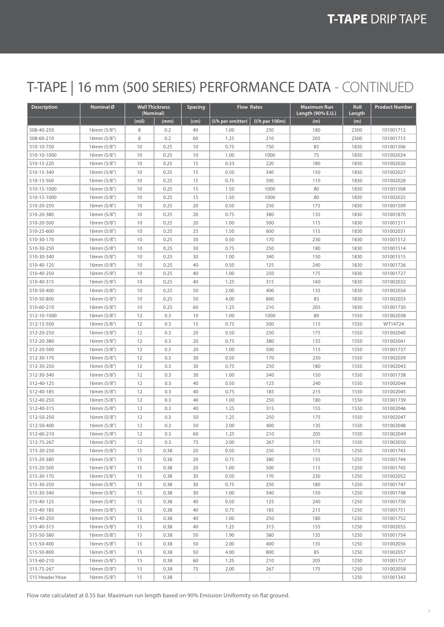### T-TAPE | 16 mm (500 SERIES) PERFORMANCE DATA - CONTINUED

| <b>Description</b> | Nominal Ø                 | (Nominal) | <b>Wall Thickness</b> | <b>Spacing</b>           | <b>Flow Rates</b> |                          | <b>Maximum Run</b><br>Length (90% E.U.) | Roll<br>Length | <b>Product Number</b> |
|--------------------|---------------------------|-----------|-----------------------|--------------------------|-------------------|--------------------------|-----------------------------------------|----------------|-----------------------|
|                    |                           | (mil)     | (mm)                  | (cm)                     | (I/h per emitter) | (l/h per 100m)           | (m)                                     | (m)            |                       |
| 508-40-250         | 16mm (5/8")               | 8         | 0.2                   | 40                       | 1.00              | 250                      | 180                                     | 2300           | 101001712             |
| 508-60-210         | 16mm (5/8")               | 8         | 0.2                   | 60                       | 1.25              | 210                      | 205                                     | 2300           | 101001715             |
| 510-10-750         | 16mm (5/8")               | 10        | 0.25                  | 10                       | 0.75              | 750                      | 85                                      | 1830           | 101001506             |
| 510-10-1000        | 16mm (5/8")               | 10        | 0.25                  | 10                       | 1.00              | 1000                     | 75                                      | 1830           | 101002024             |
| 510-15-220         | 16mm (5/8")               | 10        | 0.25                  | 15                       | 0.33              | 220                      | 180                                     | 1830           | 101002026             |
| 510-15-340         | 16mm (5/8")               | 10        | 0.25                  | 15                       | 0.50              | 340                      | 150                                     | 1830           | 101002027             |
| 510-15-500         | 16mm (5/8")               | 10        | 0.25                  | 15                       | 0.75              | 500                      | 110                                     | 1830           | 101002028             |
| 510-15-1000        | 16mm (5/8")               | 10        | 0.25                  | 15                       | 1.50              | 1000                     | 80                                      | 1830           | 101001508             |
| 510-15-1000        | 16mm (5/8")               | 10        | 0.25                  | 15                       | 1.50              | 1000                     | 80                                      | 1830           | 101002025             |
| 510-20-250         | 16mm (5/8")               | 10        | 0.25                  | 20                       | 0.50              | 250                      | 175                                     | 1830           | 101001509             |
| 510-20-380         | 16mm (5/8")               | 10        | 0.25                  | 20                       | 0.75              | 380                      | 135                                     | 1830           | 101001870             |
| 510-20-500         | 16mm (5/8")               | 10        | 0.25                  | 20                       | 1.00              | 500                      | 115                                     | 1830           | 101001511             |
| 510-25-600         | 16mm (5/8")               | 10        | 0.25                  | 25                       | 1.50              | 600                      | 115                                     | 1830           | 101002031             |
| 510-30-170         | 16mm (5/8")               | 10        | 0.25                  | 30                       | 0.50              | 170                      | 230                                     | 1830           | 101001512             |
| 510-30-250         | 16mm (5/8")               | 10        | 0.25                  | 30                       | 0.75              | 250                      | 180                                     | 1830           | 101001514             |
| 510-30-340         | 16mm (5/8")               | 10        | 0.25                  | 30                       | 1.00              | 340                      | 150                                     | 1830           | 101001515             |
| 510-40-125         | 16mm (5/8")               | 10        | 0.25                  | 40                       | 0.50              | 125                      | 240                                     | 1830           | 101001726             |
| 510-40-250         | 16mm (5/8")               | 10        | 0.25                  | 40                       | 1.00              | 250                      | 175                                     | 1830           | 101001727             |
| 510-40-315         | 16mm (5/8")               | 10        | 0.25                  | 40                       | 1.25              | 315                      | 160                                     | 1830           | 101002032             |
| 510-50-400         | 16mm (5/8")               | 10        | 0.25                  | 50                       | 2.00              | 400                      | 135                                     | 1830           | 101002034             |
| 510-50-800         | 16mm (5/8")               | 10        | 0.25                  | 50                       | 4.00              | 800                      | 85                                      | 1830           | 101002033             |
| 510-60-210         | 16mm (5/8")               | 10        | 0.25                  | 60                       | 1.25              | 210                      | 205                                     | 1830           | 101001730             |
| 512-10-1000        | 16mm (5/8")               | 12        | 0.3                   | 10                       | 1.00              | 1000                     | 80                                      | 1550           | 101002038             |
| 512-15-500         | 16mm (5/8")               | 12        | 0.3                   | 15                       | 0.75              | 500                      | 115                                     | 1550           | WT14724               |
| 512-20-250         | 16mm (5/8")               | 12        | 0.3                   | 20                       | 0.50              | 250                      | 175                                     | 1550           | 101002040             |
| 512-20-380         | 16mm (5/8")               | 12        | 0.3                   | 20                       | 0.75              | 380                      | 135                                     | 1550           | 101002041             |
| 512-20-500         | 16mm (5/8")               | 12        | 0.3                   | 20                       | 1.00              | 500                      | 115                                     | 1550           | 101001737             |
| 512-30-170         | 16mm (5/8")               | 12        | 0.3                   | 30                       | 0.50              | 170                      | 230                                     | 1550           | 101002039             |
| 512-30-250         | 16mm (5/8")               | 12        | 0.3                   | 30                       | 0.75              | 250                      | 180                                     | 1550           | 101002043             |
| 512-30-340         | 16mm (5/8")               | 12        | 0.3                   | 30                       | 1.00              | 340                      | 150                                     | 1550           | 101001738             |
| 512-40-125         | 16mm (5/8")               | 12        | 0.3                   | 40                       | 0.50              | 125                      | 240                                     | 1550           | 101002044             |
| 512-40-185         | 16mm (5/8")               | 12        | 0.3                   | 40                       | 0.75              | 185                      | 215                                     | 1550           | 101002045             |
| 512-40-250         | 16mm(5/8")                | 12        | 0.3                   | 40                       | 1.00              | 250                      | 180                                     | 1550           | 101001739             |
| 512-40-315         | 16mm (5/8")               | 12        | 0.3                   | 40                       | 1.25              | 315                      | 155                                     | 1550           | 101002046             |
| 512-50-250         | 16mm (5/8")               | 12        | 0.3                   | 50                       | 1.25              | 250                      | 175                                     | 1550           | 101002047             |
| 512-50-400         | 16mm (5/8")               | 12        | 0.3                   | 50                       | 2.00              | 400                      | 135                                     | 1550           | 101002048             |
| 512-60-210         | 16mm (5/8")               | 12        | 0.3                   | 60                       | 1.25              | 210                      | 205                                     | 1550           | 101002049             |
| 512-75-267         | 16mm (5/8")               | 12        | 0.3                   | 75                       | 2.00              | 267                      | 175                                     | 1550           | 101002050             |
| 515-20-250         | 16mm (5/8")               | 15        | 0.38                  | 20                       | 0.50              | 250                      | 175                                     | 1250           | 101001743             |
| 515-20-380         | 16mm (5/8")               | 15        | 0.38                  | 20                       | 0.75              | 380                      | 135                                     | 1250           | 101001744             |
| 515-20-500         | 16mm (5/8")               | 15        | 0.38                  | 20                       | 1.00              | 500                      | 115                                     |                | 101001745             |
| 515-30-170         | 16mm (5/8")               | 15        | 0.38                  | 30                       | 0.50              | 170                      | 230                                     | 1250<br>1250   | 101002052             |
| 515-30-250         | 16mm (5/8")               | 15        | 0.38                  | 30                       | 0.75              | 250                      | 180                                     | 1250           | 101001747             |
|                    |                           | 15        |                       |                          |                   |                          | 150                                     | 1250           | 101001748             |
| 515-30-340         | 16mm(5/8")<br>16mm (5/8") |           | 0.38                  | 30                       | 1.00              | 340                      |                                         |                |                       |
| 515-40-125         |                           | 15        | 0.38                  | 40                       | 0.50              | 125                      | 240                                     | 1250           | 101001750             |
| 515-40-185         | 16mm(5/8")                | 15        | 0.38                  | 40                       | 0.75              | 185                      | 215                                     | 1250           | 101001751             |
| 515-40-250         | 16mm (5/8")               | 15        | 0.38                  | 40                       | 1.00              | 250                      | 180                                     | 1250           | 101001752             |
| 515-40-315         | 16mm(5/8")                | 15        | 0.38                  | 40                       | 1.25              | 315                      | 155                                     | 1250           | 101002055             |
| 515-50-380         | 16mm(5/8")                | 15        | 0.38                  | 50                       | 1.90              | 380                      | 135                                     | 1250           | 101001754             |
| 515-50-400         | 16mm(5/8")                | 15        | 0.38                  | 50                       | 2.00              | 400                      | 135                                     | 1250           | 101002056             |
| 515-50-800         | 16mm(5/8")                | 15        | 0.38                  | 50                       | 4.00              | 800                      | 85                                      | 1250           | 101002057             |
| 515-60-210         | 16mm (5/8")               | 15        | 0.38                  | 60                       | 1.25              | 210                      | 205                                     | 1250           | 101001757             |
| 515-75-267         | 16mm (5/8")               | 15        | 0.38                  | 75                       | 2.00              | 267                      | 175                                     | 1250           | 101002058             |
| 515 Header Hose    | 16mm (5/8")               | 15        | 0.38                  | $\overline{\phantom{a}}$ |                   | $\overline{\phantom{a}}$ |                                         | 1250           | 101001343             |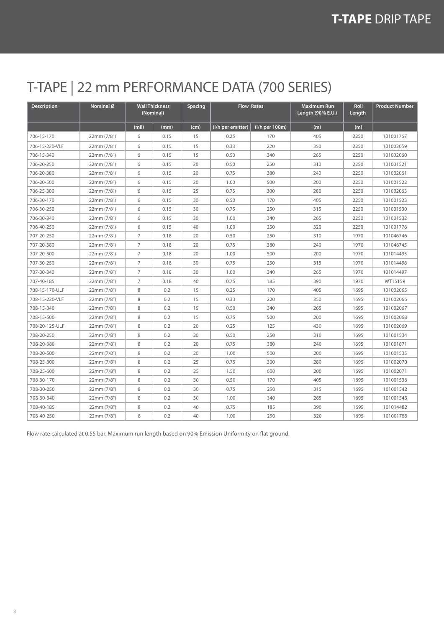### T-TAPE | 22 mm PERFORMANCE DATA (700 SERIES)

| <b>Description</b> | Nominal Ø   |                | <b>Wall Thickness</b><br>(Nominal) | Spacing |                   | <b>Flow Rates</b> | <b>Maximum Run</b><br>Length (90% E.U.) | Roll<br>Length | <b>Product Number</b> |
|--------------------|-------------|----------------|------------------------------------|---------|-------------------|-------------------|-----------------------------------------|----------------|-----------------------|
|                    |             | (mil)          | (mm)                               | (cm)    | (I/h per emitter) | (I/h per 100m)    | (m)                                     | (m)            |                       |
| 706-15-170         | 22mm (7/8") | 6              | 0.15                               | 15      | 0.25              | 170               | 405                                     | 2250           | 101001767             |
| 706-15-220-VLF     | 22mm (7/8") | 6              | 0.15                               | 15      | 0.33              | 220               | 350                                     | 2250           | 101002059             |
| 706-15-340         | 22mm (7/8") | 6              | 0.15                               | 15      | 0.50              | 340               | 265                                     | 2250           | 101002060             |
| 706-20-250         | 22mm (7/8") | 6              | 0.15                               | 20      | 0.50              | 250               | 310                                     | 2250           | 101001521             |
| 706-20-380         | 22mm (7/8") | 6              | 0.15                               | 20      | 0.75              | 380               | 240                                     | 2250           | 101002061             |
| 706-20-500         | 22mm (7/8") | 6              | 0.15                               | 20      | 1.00              | 500               | 200                                     | 2250           | 101001522             |
| 706-25-300         | 22mm (7/8") | 6              | 0.15                               | 25      | 0.75              | 300               | 280                                     | 2250           | 101002063             |
| 706-30-170         | 22mm (7/8") | 6              | 0.15                               | 30      | 0.50              | 170               | 405                                     | 2250           | 101001523             |
| 706-30-250         | 22mm (7/8") | 6              | 0.15                               | 30      | 0.75              | 250               | 315                                     | 2250           | 101001530             |
| 706-30-340         | 22mm (7/8") | 6              | 0.15                               | 30      | 1.00              | 340               | 265                                     | 2250           | 101001532             |
| 706-40-250         | 22mm (7/8") | 6              | 0.15                               | 40      | 1.00              | 250               | 320                                     | 2250           | 101001776             |
| 707-20-250         | 22mm (7/8") | $\overline{7}$ | 0.18                               | 20      | 0.50              | 250               | 310                                     | 1970           | 101046746             |
| 707-20-380         | 22mm (7/8") | 7              | 0.18                               | 20      | 0.75              | 380               | 240                                     | 1970           | 101046745             |
| 707-20-500         | 22mm (7/8") | 7              | 0.18                               | 20      | 1.00              | 500               | 200                                     | 1970           | 101014495             |
| 707-30-250         | 22mm (7/8") | $\overline{7}$ | 0.18                               | 30      | 0.75              | 250               | 315                                     | 1970           | 101014496             |
| 707-30-340         | 22mm (7/8") | $\overline{7}$ | 0.18                               | 30      | 1.00              | 340               | 265                                     | 1970           | 101014497             |
| 707-40-185         | 22mm (7/8") | $\overline{7}$ | 0.18                               | 40      | 0.75              | 185               | 390                                     | 1970           | WT15159               |
| 708-15-170-ULF     | 22mm (7/8") | 8              | 0.2                                | 15      | 0.25              | 170               | 405                                     | 1695           | 101002065             |
| 708-15-220-VLF     | 22mm (7/8") | 8              | 0.2                                | 15      | 0.33              | 220               | 350                                     | 1695           | 101002066             |
| 708-15-340         | 22mm (7/8") | 8              | 0.2                                | 15      | 0.50              | 340               | 265                                     | 1695           | 101002067             |
| 708-15-500         | 22mm (7/8") | 8              | 0.2                                | 15      | 0.75              | 500               | 200                                     | 1695           | 101002068             |
| 708-20-125-ULF     | 22mm (7/8") | 8              | 0.2                                | 20      | 0.25              | 125               | 430                                     | 1695           | 101002069             |
| 708-20-250         | 22mm (7/8") | 8              | 0.2                                | 20      | 0.50              | 250               | 310                                     | 1695           | 101001534             |
| 708-20-380         | 22mm (7/8") | 8              | 0.2                                | 20      | 0.75              | 380               | 240                                     | 1695           | 101001871             |
| 708-20-500         | 22mm (7/8") | 8              | 0.2                                | 20      | 1.00              | 500               | 200                                     | 1695           | 101001535             |
| 708-25-300         | 22mm (7/8") | 8              | 0.2                                | 25      | 0.75              | 300               | 280                                     | 1695           | 101002070             |
| 708-25-600         | 22mm (7/8") | 8              | 0.2                                | 25      | 1.50              | 600               | 200                                     | 1695           | 101002071             |
| 708-30-170         | 22mm (7/8") | 8              | 0.2                                | 30      | 0.50              | 170               | 405                                     | 1695           | 101001536             |
| 708-30-250         | 22mm (7/8") | 8              | 0.2                                | 30      | 0.75              | 250               | 315                                     | 1695           | 101001542             |
| 708-30-340         | 22mm (7/8") | 8              | 0.2                                | 30      | 1.00              | 340               | 265                                     | 1695           | 101001543             |
| 708-40-185         | 22mm (7/8") | 8              | 0.2                                | 40      | 0.75              | 185               | 390                                     | 1695           | 101014482             |
| 708-40-250         | 22mm (7/8") | 8              | 0.2                                | 40      | 1.00              | 250               | 320                                     | 1695           | 101001788             |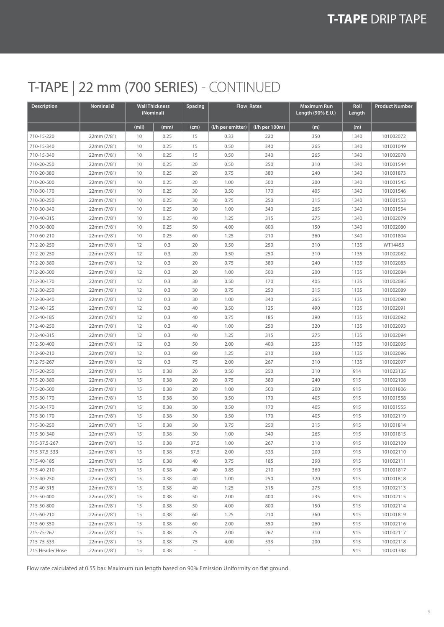### T-TAPE | 22 mm (700 SERIES) - CONTINUED

| Description     | Nominal Ø   | (Nominal) | <b>Wall Thickness</b> | <b>Spacing</b> | <b>Flow Rates</b> |                | <b>Maximum Run</b><br>Length (90% E.U.) | Roll<br>Length | <b>Product Number</b> |
|-----------------|-------------|-----------|-----------------------|----------------|-------------------|----------------|-----------------------------------------|----------------|-----------------------|
|                 |             | (mil)     | (mm)                  | (cm)           | (I/h per emitter) | (I/h per 100m) | (m)                                     | (m)            |                       |
| 710-15-220      | 22mm (7/8") | 10        | 0.25                  | 15             | 0.33              | 220            | 350                                     | 1340           | 101002072             |
| 710-15-340      | 22mm (7/8") | 10        | 0.25                  | 15             | 0.50              | 340            | 265                                     | 1340           | 101001049             |
| 710-15-340      | 22mm (7/8") | 10        | 0.25                  | 15             | 0.50              | 340            | 265                                     | 1340           | 101002078             |
| 710-20-250      | 22mm (7/8") | 10        | 0.25                  | 20             | 0.50              | 250            | 310                                     | 1340           | 101001544             |
| 710-20-380      | 22mm (7/8") | 10        | 0.25                  | 20             | 0.75              | 380            | 240                                     | 1340           | 101001873             |
| 710-20-500      | 22mm (7/8") | 10        | 0.25                  | 20             | 1.00              | 500            | 200                                     | 1340           | 101001545             |
| 710-30-170      | 22mm (7/8") | 10        | 0.25                  | 30             | 0.50              | 170            | 405                                     | 1340           | 101001546             |
| 710-30-250      | 22mm (7/8") | 10        | 0.25                  | 30             | 0.75              | 250            | 315                                     | 1340           | 101001553             |
| 710-30-340      | 22mm (7/8") | 10        | 0.25                  | 30             | 1.00              | 340            | 265                                     | 1340           | 101001554             |
| 710-40-315      | 22mm (7/8") | 10        | 0.25                  | 40             | 1.25              | 315            | 275                                     | 1340           | 101002079             |
| 710-50-800      | 22mm (7/8") | 10        | 0.25                  | 50             | 4.00              | 800            | 150                                     | 1340           | 101002080             |
| 710-60-210      | 22mm (7/8") | 10        | 0.25                  | 60             | 1.25              | 210            | 360                                     | 1340           | 101001804             |
| 712-20-250      | 22mm (7/8") | 12        | 0.3                   | 20             | 0.50              | 250            | 310                                     | 1135           | WT14453               |
| 712-20-250      | 22mm (7/8") | 12        | 0.3                   | 20             | 0.50              | 250            | 310                                     | 1135           | 101002082             |
| 712-20-380      | 22mm (7/8") | 12        | 0.3                   | 20             | 0.75              | 380            | 240                                     | 1135           | 101002083             |
| 712-20-500      | 22mm (7/8") | 12        | 0.3                   | 20             | 1.00              | 500            | 200                                     | 1135           | 101002084             |
| 712-30-170      | 22mm (7/8") | 12        | 0.3                   | 30             | 0.50              | 170            | 405                                     | 1135           | 101002085             |
| 712-30-250      | 22mm (7/8") | 12        | 0.3                   | 30             | 0.75              | 250            | 315                                     | 1135           | 101002089             |
| 712-30-340      | 22mm (7/8") | 12        | 0.3                   | 30             | 1.00              | 340            | 265                                     | 1135           | 101002090             |
| 712-40-125      | 22mm (7/8") | 12        | 0.3                   | 40             | 0.50              | 125            | 490                                     | 1135           | 101002091             |
| 712-40-185      | 22mm (7/8") | 12        | 0.3                   | 40             | 0.75              | 185            | 390                                     | 1135           | 101002092             |
| 712-40-250      | 22mm (7/8") | 12        | 0.3                   | 40             | 1.00              | 250            | 320                                     | 1135           | 101002093             |
| 712-40-315      | 22mm (7/8") | 12        | 0.3                   | 40             | 1.25              | 315            | 275                                     | 1135           | 101002094             |
| 712-50-400      | 22mm (7/8") | 12        | 0.3                   | 50             | 2.00              | 400            | 235                                     | 1135           | 101002095             |
| 712-60-210      | 22mm (7/8") | 12        | 0.3                   | 60             | 1.25              | 210            | 360                                     | 1135           | 101002096             |
| 712-75-267      | 22mm (7/8") | 12        | 0.3                   | 75             | 2.00              | 267            | 310                                     | 1135           | 101002097             |
| 715-20-250      | 22mm (7/8") | 15        | 0.38                  | 20             | 0.50              | 250            | 310                                     | 914            | 101023135             |
| 715-20-380      | 22mm (7/8") | 15        | 0.38                  | 20             | 0.75              | 380            | 240                                     | 915            | 101002108             |
| 715-20-500      | 22mm (7/8") | 15        | 0.38                  | 20             | 1.00              | 500            | 200                                     | 915            | 101001806             |
| 715-30-170      | 22mm (7/8") | 15        | 0.38                  | 30             | 0.50              | 170            | 405                                     | 915            | 101001558             |
| 715-30-170      | 22mm (7/8") | 15        | 0.38                  | 30             | 0.50              | 170            | 405                                     | 915            | 101001555             |
| 715-30-170      | 22mm (7/8") | 15        | 0.38                  | 30             | 0.50              | 170            | 405                                     | 915            | 101002119             |
| 715-30-250      | 22mm (7/8") | 15        | 0.38                  | 30             | 0.75              | 250            | 315                                     | 915            | 101001814             |
| 715-30-340      | 22mm (7/8") | 15        | 0.38                  | 30             | 1.00              | 340            | 265                                     | 915            | 101001815             |
| 715-37.5-267    | 22mm (7/8") | 15        | 0.38                  | 37.5           | 1.00              | 267            | 310                                     | 915            | 101002109             |
| 715-37.5-533    | 22mm (7/8") | 15        | 0.38                  | 37.5           | 2.00              | 533            | 200                                     | 915            | 101002110             |
| 715-40-185      | 22mm (7/8") | 15        | 0.38                  | 40             | 0.75              | 185            | 390                                     | 915            | 101002111             |
| 715-40-210      | 22mm (7/8") | 15        | 0.38                  | 40             | 0.85              | 210            | 360                                     | 915            | 101001817             |
| 715-40-250      | 22mm (7/8") | 15        | 0.38                  | 40             | 1.00              | 250            | 320                                     | 915            | 101001818             |
| 715-40-315      | 22mm (7/8") | 15        | 0.38                  | 40             | 1.25              | 315            | 275                                     | 915            | 101002113             |
| 715-50-400      | 22mm (7/8") | 15        | 0.38                  | 50             | 2.00              | 400            | 235                                     | 915            | 101002115             |
| 715-50-800      | 22mm (7/8") | 15        | 0.38                  | 50             | 4.00              | 800            | 150                                     | 915            | 101002114             |
| 715-60-210      | 22mm (7/8") | 15        | 0.38                  | 60             | 1.25              | 210            | 360                                     | 915            | 101001819             |
| 715-60-350      | 22mm (7/8") | 15        | 0.38                  | 60             | 2.00              | 350            | 260                                     | 915            | 101002116             |
| 715-75-267      | 22mm (7/8") | 15        | 0.38                  | 75             | 2.00              | 267            | 310                                     | 915            | 101002117             |
| 715-75-533      | 22mm (7/8") | 15        | 0.38                  | 75             | 4.00              | 533            | 200                                     | 915            | 101002118             |
| 715 Header Hose | 22mm (7/8") | 15        | 0.38                  | $\sim$         |                   |                |                                         | 915            | 101001348             |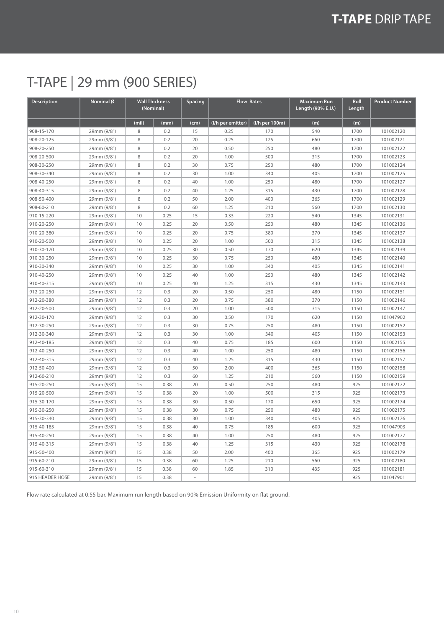### T-TAPE | 29 mm (900 SERIES)

| Description     | Nominal <sup>Ø</sup> |       | <b>Wall Thickness</b><br>(Nominal) | Spacing | <b>Flow Rates</b> |                | <b>Maximum Run</b><br>Length (90% E.U.) | Roll<br>Length | <b>Product Number</b> |
|-----------------|----------------------|-------|------------------------------------|---------|-------------------|----------------|-----------------------------------------|----------------|-----------------------|
|                 |                      | (mil) | (mm)                               | (cm)    | (I/h per emitter) | (I/h per 100m) | (m)                                     | (m)            |                       |
| 908-15-170      | 29mm (9/8")          | 8     | 0.2                                | 15      | 0.25              | 170            | 540                                     | 1700           | 101002120             |
| 908-20-125      | 29mm (9/8")          | 8     | 0.2                                | 20      | 0.25              | 125            | 660                                     | 1700           | 101002121             |
| 908-20-250      | 29mm (9/8")          | 8     | 0.2                                | 20      | 0.50              | 250            | 480                                     | 1700           | 101002122             |
| 908-20-500      | 29mm (9/8")          | 8     | 0.2                                | 20      | 1.00              | 500            | 315                                     | 1700           | 101002123             |
| 908-30-250      | 29mm (9/8")          | 8     | 0.2                                | 30      | 0.75              | 250            | 480                                     | 1700           | 101002124             |
| 908-30-340      | 29mm (9/8")          | 8     | 0.2                                | 30      | 1.00              | 340            | 405                                     | 1700           | 101002125             |
| 908-40-250      | 29mm (9/8")          | 8     | 0.2                                | 40      | 1.00              | 250            | 480                                     | 1700           | 101002127             |
| 908-40-315      | 29mm (9/8")          | 8     | 0.2                                | 40      | 1.25              | 315            | 430                                     | 1700           | 101002128             |
| 908-50-400      | 29mm (9/8")          | 8     | 0.2                                | 50      | 2.00              | 400            | 365                                     | 1700           | 101002129             |
| 908-60-210      | 29mm (9/8")          | 8     | 0.2                                | 60      | 1.25              | 210            | 560                                     | 1700           | 101002130             |
| 910-15-220      | 29mm (9/8")          | 10    | 0.25                               | 15      | 0.33              | 220            | 540                                     | 1345           | 101002131             |
| 910-20-250      | 29mm (9/8")          | 10    | 0.25                               | 20      | 0.50              | 250            | 480                                     | 1345           | 101002136             |
| 910-20-380      | 29mm (9/8")          | 10    | 0.25                               | 20      | 0.75              | 380            | 370                                     | 1345           | 101002137             |
| 910-20-500      | 29mm (9/8")          | 10    | 0.25                               | 20      | 1.00              | 500            | 315                                     | 1345           | 101002138             |
| 910-30-170      | 29mm (9/8")          | 10    | 0.25                               | 30      | 0.50              | 170            | 620                                     | 1345           | 101002139             |
| 910-30-250      | 29mm (9/8")          | 10    | 0.25                               | 30      | 0.75              | 250            | 480                                     | 1345           | 101002140             |
| 910-30-340      | 29mm (9/8")          | 10    | 0.25                               | 30      | 1.00              | 340            | 405                                     | 1345           | 101002141             |
| 910-40-250      | 29mm (9/8")          | 10    | 0.25                               | 40      | 1.00              | 250            | 480                                     | 1345           | 101002142             |
| 910-40-315      | 29mm (9/8")          | 10    | 0.25                               | 40      | 1.25              | 315            | 430                                     | 1345           | 101002143             |
| 912-20-250      | 29mm (9/8")          | 12    | 0.3                                | 20      | 0.50              | 250            | 480                                     | 1150           | 101002151             |
| 912-20-380      | 29mm (9/8")          | 12    | 0.3                                | 20      | 0.75              | 380            | 370                                     | 1150           | 101002146             |
| 912-20-500      | 29mm (9/8")          | 12    | 0.3                                | 20      | 1.00              | 500            | 315                                     | 1150           | 101002147             |
| 912-30-170      | 29mm (9/8")          | 12    | 0.3                                | 30      | 0.50              | 170            | 620                                     | 1150           | 101047902             |
| 912-30-250      | 29mm (9/8")          | 12    | 0.3                                | 30      | 0.75              | 250            | 480                                     | 1150           | 101002152             |
| 912-30-340      | 29mm (9/8")          | 12    | 0.3                                | 30      | 1.00              | 340            | 405                                     | 1150           | 101002153             |
| 912-40-185      | 29mm (9/8")          | 12    | 0.3                                | 40      | 0.75              | 185            | 600                                     | 1150           | 101002155             |
| 912-40-250      | 29mm (9/8")          | 12    | 0.3                                | 40      | 1.00              | 250            | 480                                     | 1150           | 101002156             |
| 912-40-315      | 29mm (9/8")          | 12    | 0.3                                | 40      | 1.25              | 315            | 430                                     | 1150           | 101002157             |
| 912-50-400      | 29mm (9/8")          | 12    | 0.3                                | 50      | 2.00              | 400            | 365                                     | 1150           | 101002158             |
| 912-60-210      | 29mm (9/8")          | 12    | 0.3                                | 60      | 1.25              | 210            | 560                                     | 1150           | 101002159             |
| 915-20-250      | 29mm (9/8")          | 15    | 0.38                               | 20      | 0.50              | 250            | 480                                     | 925            | 101002172             |
| 915-20-500      | 29mm (9/8")          | 15    | 0.38                               | 20      | 1.00              | 500            | 315                                     | 925            | 101002173             |
| 915-30-170      | 29mm (9/8")          | 15    | 0.38                               | 30      | 0.50              | 170            | 650                                     | 925            | 101002174             |
| 915-30-250      | 29mm (9/8")          | 15    | 0.38                               | 30      | 0.75              | 250            | 480                                     | 925            | 101002175             |
| 915-30-340      | 29mm (9/8")          | 15    | 0.38                               | 30      | 1.00              | 340            | 405                                     | 925            | 101002176             |
| 915-40-185      | 29mm (9/8")          | 15    | 0.38                               | 40      | 0.75              | 185            | 600                                     | 925            | 101047903             |
| 915-40-250      | 29mm (9/8")          | 15    | 0.38                               | 40      | 1.00              | 250            | 480                                     | 925            | 101002177             |
| 915-40-315      | 29mm (9/8")          | 15    | 0.38                               | 40      | 1.25              | 315            | 430                                     | 925            | 101002178             |
| 915-50-400      | 29mm (9/8")          | 15    | 0.38                               | 50      | 2.00              | 400            | 365                                     | 925            | 101002179             |
| 915-60-210      | 29mm (9/8")          | 15    | 0.38                               | 60      | 1.25              | 210            | 560                                     | 925            | 101002180             |
| 915-60-310      | 29mm (9/8")          | 15    | 0.38                               | 60      | 1.85              | 310            | 435                                     | 925            | 101002181             |
| 915 HEADER HOSE | 29mm (9/8")          | 15    | 0.38                               | ÷       |                   |                |                                         | 925            | 101047901             |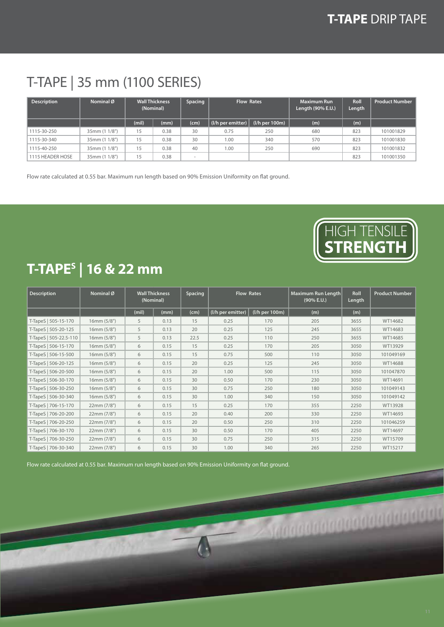### T-TAPE | 35 mm (1100 SERIES)

| <b>Description</b> | Nominal Ø     |       | <b>Wall Thickness</b><br>(Nominal) | Spacing | <b>Flow Rates</b>   |                  | <b>Maximum Run</b><br>Length (90% E.U.) | Roll<br>Length | <b>Product Number</b> |
|--------------------|---------------|-------|------------------------------------|---------|---------------------|------------------|-----------------------------------------|----------------|-----------------------|
|                    |               | (mil) | (mm)                               | (cm)    | $( /h$ per emitter) | $(I/h$ per 100m) | (m)                                     | (m)            |                       |
| 1115-30-250        | 35mm (1 1/8") | 15    | 0.38                               | 30      | 0.75                | 250              | 680                                     | 823            | 101001829             |
| 1115-30-340        | 35mm (1 1/8") | 15    | 0.38                               | 30      | 1.00                | 340              | 570                                     | 823            | 101001830             |
| 1115-40-250        | 35mm (1 1/8") | 15    | 0.38                               | 40      | 1.00                | 250              | 690                                     | 823            | 101001832             |
| 1115 HEADER HOSE   | 35mm (1 1/8") | 15    | 0.38                               | $\sim$  |                     |                  |                                         | 823            | 101001350             |

Flow rate calculated at 0.55 bar. Maximum run length based on 90% Emission Uniformity on flat ground.



**A Seggaggaggaggaggaggaggag** 

### **T-TAPES | 16 & 22 mm**

| <b>Description</b>     | Nominal <sup>Ø</sup> | (Nominal) | <b>Wall Thickness</b> | Spacing |                   | <b>Flow Rates</b><br>Maximum Run Length |     | Roll<br>Length | <b>Product Number</b> |
|------------------------|----------------------|-----------|-----------------------|---------|-------------------|-----------------------------------------|-----|----------------|-----------------------|
|                        |                      | (mil)     | (mm)                  | (cm)    | (I/h per emitter) | (I/h per 100m)                          | (m) | (m)            |                       |
| T-TapeS   505-15-170   | 16mm (5/8")          | 5         | 0.13                  | 15      | 0.25              | 170                                     | 205 | 3655           | WT14682               |
| T-TapeS   505-20-125   | 16mm(5/8")           | 5         | 0.13                  | 20      | 0.25              | 125                                     | 245 | 3655           | WT14683               |
| T-TapeS   505-22.5-110 | 16mm (5/8")          | 5         | 0.13                  | 22.5    | 0.25              | 110                                     | 250 | 3655           | WT14685               |
| T-TapeS   506-15-170   | 16mm (5/8")          | 6         | 0.15                  | 15      | 0.25              | 170                                     | 205 | 3050           | WT13929               |
| T-TapeS   506-15-500   | 16mm (5/8")          | 6         | 0.15                  | 15      | 0.75              | 500                                     | 110 | 3050           | 101049169             |
| T-TapeS   506-20-125   | 16mm(5/8")           | 6         | 0.15                  | 20      | 0.25              | 125                                     | 245 | 3050           | WT14688               |
| T-TapeS   506-20-500   | 16mm (5/8")          | 6         | 0.15                  | 20      | 1.00              | 500                                     | 115 | 3050           | 101047870             |
| T-TapeS   506-30-170   | 16mm (5/8")          | 6         | 0.15                  | 30      | 0.50              | 170                                     | 230 | 3050           | WT14691               |
| T-TapeS   506-30-250   | 16mm (5/8")          | 6         | 0.15                  | 30      | 0.75              | 250                                     | 180 | 3050           | 101049143             |
| T-TapeS   506-30-340   | 16mm(5/8")           | 6         | 0.15                  | 30      | 1.00              | 340                                     | 150 | 3050           | 101049142             |
| T-TapeS   706-15-170   | 22mm (7/8")          | 6         | 0.15                  | 15      | 0.25              | 170                                     | 355 | 2250           | WT13928               |
| T-TapeS   706-20-200   | 22mm (7/8")          | 6         | 0.15                  | 20      | 0.40              | 200                                     | 330 | 2250           | WT14693               |
| T-TapeS   706-20-250   | 22mm (7/8")          | 6         | 0.15                  | 20      | 0.50              | 250                                     | 310 | 2250           | 101046259             |
| T-TapeS   706-30-170   | 22mm (7/8")          | 6         | 0.15                  | 30      | 0.50              | 170                                     | 405 | 2250           | WT14697               |
| T-TapeS   706-30-250   | 22mm (7/8")          | 6         | 0.15                  | 30      | 0.75              | 250                                     | 315 | 2250           | WT15709               |
| T-TapeS   706-30-340   | 22mm (7/8")          | 6         | 0.15                  | 30      | 1.00              | 340                                     | 265 | 2250           | WT15217               |